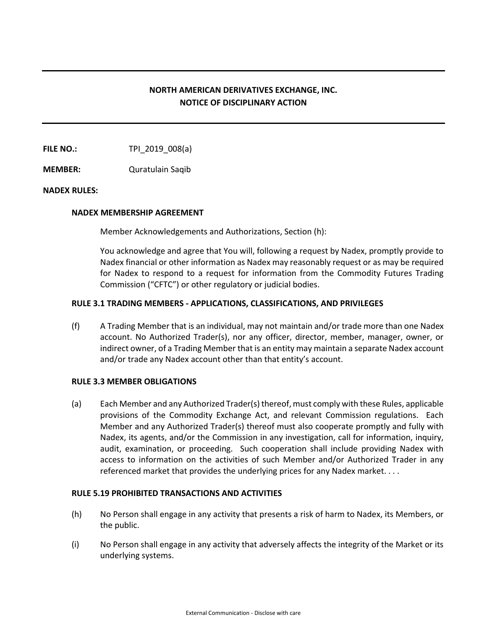# **NORTH AMERICAN DERIVATIVES EXCHANGE, INC. NOTICE OF DISCIPLINARY ACTION**

**FILE NO.:** TPI\_2019\_008(a)

**MEMBER:** Quratulain Saqib

## **NADEX RULES:**

#### **NADEX MEMBERSHIP AGREEMENT**

Member Acknowledgements and Authorizations, Section (h):

You acknowledge and agree that You will, following a request by Nadex, promptly provide to Nadex financial or other information as Nadex may reasonably request or as may be required for Nadex to respond to a request for information from the Commodity Futures Trading Commission ("CFTC") or other regulatory or judicial bodies.

## **RULE 3.1 TRADING MEMBERS - APPLICATIONS, CLASSIFICATIONS, AND PRIVILEGES**

(f) A Trading Member that is an individual, may not maintain and/or trade more than one Nadex account. No Authorized Trader(s), nor any officer, director, member, manager, owner, or indirect owner, of a Trading Member that is an entity may maintain a separate Nadex account and/or trade any Nadex account other than that entity's account.

## **RULE 3.3 MEMBER OBLIGATIONS**

(a) Each Member and any Authorized Trader(s) thereof, must comply with these Rules, applicable provisions of the Commodity Exchange Act, and relevant Commission regulations. Each Member and any Authorized Trader(s) thereof must also cooperate promptly and fully with Nadex, its agents, and/or the Commission in any investigation, call for information, inquiry, audit, examination, or proceeding. Such cooperation shall include providing Nadex with access to information on the activities of such Member and/or Authorized Trader in any referenced market that provides the underlying prices for any Nadex market. . . .

#### **RULE 5.19 PROHIBITED TRANSACTIONS AND ACTIVITIES**

- (h) No Person shall engage in any activity that presents a risk of harm to Nadex, its Members, or the public.
- (i) No Person shall engage in any activity that adversely affects the integrity of the Market or its underlying systems.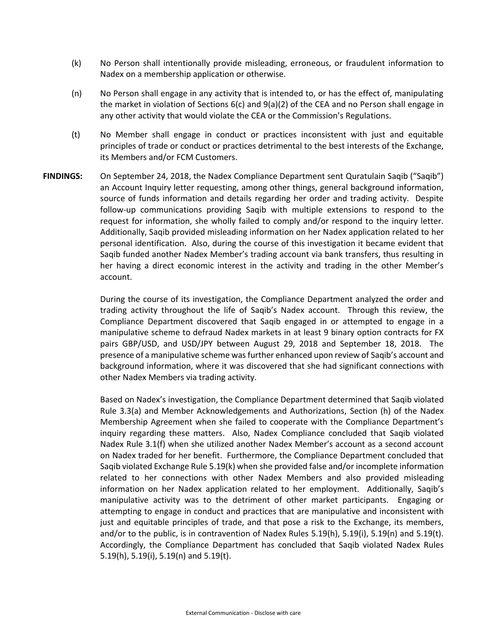- (k) No Person shall intentionally provide misleading, erroneous, or fraudulent information to Nadex on a membership application or otherwise.
- (n) No Person shall engage in any activity that is intended to, or has the effect of, manipulating the market in violation of Sections 6(c) and 9(a)(2) of the CEA and no Person shall engage in any other activity that would violate the CEA or the Commission's Regulations.
- (t) No Member shall engage in conduct or practices inconsistent with just and equitable principles of trade or conduct or practices detrimental to the best interests of the Exchange, its Members and/or FCM Customers.
- **FINDINGS:** On September 24, 2018, the Nadex Compliance Department sent Quratulain Saqib ("Saqib") an Account Inquiry letter requesting, among other things, general background information, source of funds information and details regarding her order and trading activity. Despite follow-up communications providing Saqib with multiple extensions to respond to the request for information, she wholly failed to comply and/or respond to the inquiry letter. Additionally, Saqib provided misleading information on her Nadex application related to her personal identification. Also, during the course of this investigation it became evident that Saqib funded another Nadex Member's trading account via bank transfers, thus resulting in her having a direct economic interest in the activity and trading in the other Member's account.

During the course of its investigation, the Compliance Department analyzed the order and trading activity throughout the life of Saqib's Nadex account. Through this review, the Compliance Department discovered that Saqib engaged in or attempted to engage in a manipulative scheme to defraud Nadex markets in at least 9 binary option contracts for FX pairs GBP/USD, and USD/JPY between August 29, 2018 and September 18, 2018. The presence of a manipulative scheme was further enhanced upon review of Saqib's account and background information, where it was discovered that she had significant connections with other Nadex Members via trading activity.

Based on Nadex's investigation, the Compliance Department determined that Saqib violated Rule 3.3(a) and Member Acknowledgements and Authorizations, Section (h) of the Nadex Membership Agreement when she failed to cooperate with the Compliance Department's inquiry regarding these matters. Also, Nadex Compliance concluded that Saqib violated Nadex Rule 3.1(f) when she utilized another Nadex Member's account as a second account on Nadex traded for her benefit. Furthermore, the Compliance Department concluded that Saqib violated Exchange Rule 5.19(k) when she provided false and/or incomplete information related to her connections with other Nadex Members and also provided misleading information on her Nadex application related to her employment. Additionally, Saqib's manipulative activity was to the detriment of other market participants. Engaging or attempting to engage in conduct and practices that are manipulative and inconsistent with just and equitable principles of trade, and that pose a risk to the Exchange, its members, and/or to the public, is in contravention of Nadex Rules 5.19(h), 5.19(i), 5.19(n) and 5.19(t). Accordingly, the Compliance Department has concluded that Saqib violated Nadex Rules 5.19(h), 5.19(i), 5.19(n) and 5.19(t).